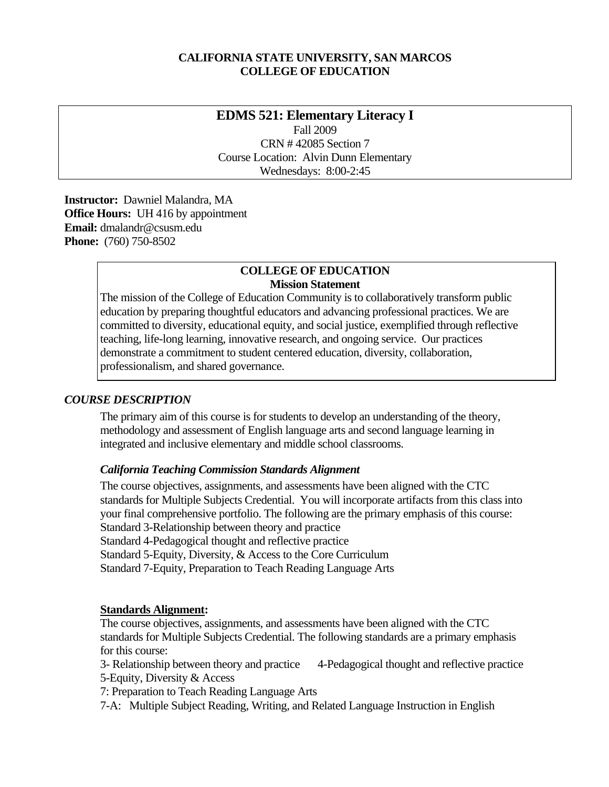### **CALIFORNIA STATE UNIVERSITY, SAN MARCOS COLLEGE OF EDUCATION**

# **EDMS 521: Elementary Literacy I**

Fall 2009 CRN # 42085 Section 7 Course Location: Alvin Dunn Elementary Wednesdays: 8:00-2:45

 **Instructor:** Dawniel Malandra, MA **Office Hours:** UH 416 by appointment  **Email:** dmalandr@csusm.edu **Phone:** (760) 750-8502

### **COLLEGE OF EDUCATION Mission Statement**

The mission of the College of Education Community is to collaboratively transform public education by preparing thoughtful educators and advancing professional practices. We are committed to diversity, educational equity, and social justice, exemplified through reflective teaching, life-long learning, innovative research, and ongoing service. Our practices demonstrate a commitment to student centered education, diversity, collaboration, professionalism, and shared governance.

### *COURSE DESCRIPTION*

The primary aim of this course is for students to develop an understanding of the theory, methodology and assessment of English language arts and second language learning in integrated and inclusive elementary and middle school classrooms.

### *California Teaching Commission Standards Alignment*

The course objectives, assignments, and assessments have been aligned with the CTC standards for Multiple Subjects Credential. You will incorporate artifacts from this class into your final comprehensive portfolio. The following are the primary emphasis of this course: Standard 3-Relationship between theory and practice Standard 4-Pedagogical thought and reflective practice Standard 5-Equity, Diversity, & Access to the Core Curriculum Standard 7-Equity, Preparation to Teach Reading Language Arts

### **Standards Alignment:**

The course objectives, assignments, and assessments have been aligned with the CTC standards for Multiple Subjects Credential. The following standards are a primary emphasis for this course:

- 3- Relationship between theory and practice 4-Pedagogical thought and reflective practice
- 5-Equity, Diversity & Access
- 7: Preparation to Teach Reading Language Arts
- 7-A: Multiple Subject Reading, Writing, and Related Language Instruction in English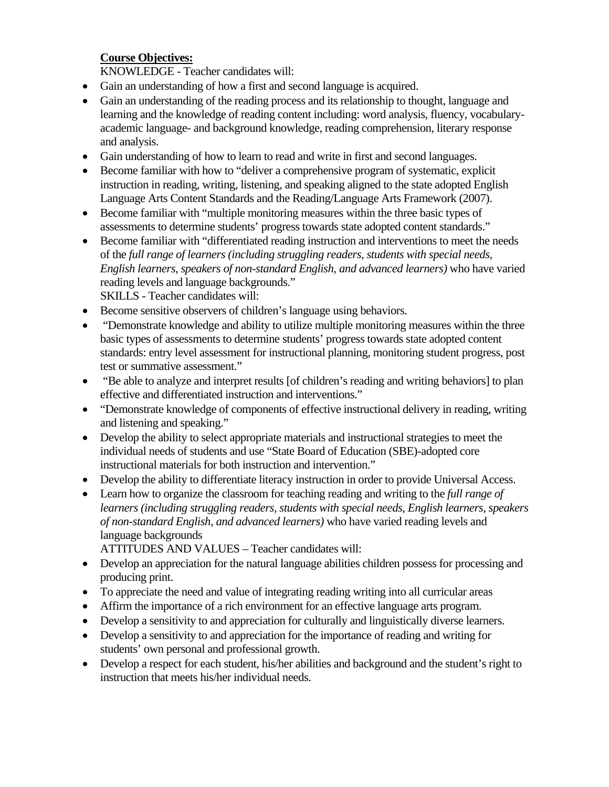## **Course Objectives:**

KNOWLEDGE - Teacher candidates will:

- Gain an understanding of how a first and second language is acquired.
- and analysis. • Gain an understanding of the reading process and its relationship to thought, language and learning and the knowledge of reading content including: word analysis, fluency, vocabularyacademic language- and background knowledge, reading comprehension, literary response
- Gain understanding of how to learn to read and write in first and second languages.
- Become familiar with how to "deliver a comprehensive program of systematic, explicit instruction in reading, writing, listening, and speaking aligned to the state adopted English Language Arts Content Standards and the Reading/Language Arts Framework (2007).
- Become familiar with "multiple monitoring measures within the three basic types of assessments to determine students' progress towards state adopted content standards."
- Become familiar with "differentiated reading instruction and interventions to meet the needs of the *full range of learners (including struggling readers, students with special needs, English learners, speakers of non-standard English, and advanced learners)* who have varied reading levels and language backgrounds." SKILLS - Teacher candidates will:
- Become sensitive observers of children's language using behaviors.
- "Demonstrate knowledge and ability to utilize multiple monitoring measures within the three basic types of assessments to determine students' progress towards state adopted content standards: entry level assessment for instructional planning, monitoring student progress, post test or summative assessment."
- "Be able to analyze and interpret results [of children's reading and writing behaviors] to plan effective and differentiated instruction and interventions."
- "Demonstrate knowledge of components of effective instructional delivery in reading, writing and listening and speaking."
- Develop the ability to select appropriate materials and instructional strategies to meet the individual needs of students and use "State Board of Education (SBE)-adopted core instructional materials for both instruction and intervention."
- Develop the ability to differentiate literacy instruction in order to provide Universal Access.
- Learn how to organize the classroom for teaching reading and writing to the *full range of learners (including struggling readers, students with special needs, English learners, speakers of non-standard English, and advanced learners)* who have varied reading levels and language backgrounds

ATTITUDES AND VALUES – Teacher candidates will:

- Develop an appreciation for the natural language abilities children possess for processing and producing print.
- To appreciate the need and value of integrating reading writing into all curricular areas
- Affirm the importance of a rich environment for an effective language arts program.
- Develop a sensitivity to and appreciation for culturally and linguistically diverse learners.
- Develop a sensitivity to and appreciation for the importance of reading and writing for students' own personal and professional growth.
- Develop a respect for each student, his/her abilities and background and the student's right to instruction that meets his/her individual needs.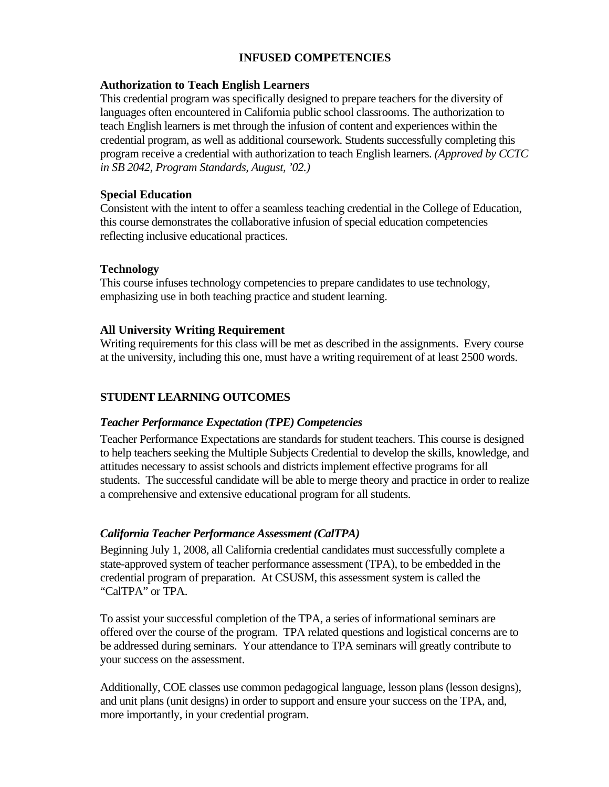## **INFUSED COMPETENCIES**

#### **Authorization to Teach English Learners**

This credential program was specifically designed to prepare teachers for the diversity of languages often encountered in California public school classrooms. The authorization to teach English learners is met through the infusion of content and experiences within the credential program, as well as additional coursework. Students successfully completing this program receive a credential with authorization to teach English learners. *(Approved by CCTC in SB 2042, Program Standards, August, '02.)* 

#### **Special Education**

Consistent with the intent to offer a seamless teaching credential in the College of Education, this course demonstrates the collaborative infusion of special education competencies reflecting inclusive educational practices.

#### **Technology**

This course infuses technology competencies to prepare candidates to use technology, emphasizing use in both teaching practice and student learning.

#### **All University Writing Requirement**

Writing requirements for this class will be met as described in the assignments. Every course at the university, including this one, must have a writing requirement of at least 2500 words.

### **STUDENT LEARNING OUTCOMES**

### *Teacher Performance Expectation (TPE) Competencies*

Teacher Performance Expectations are standards for student teachers. This course is designed to help teachers seeking the Multiple Subjects Credential to develop the skills, knowledge, and attitudes necessary to assist schools and districts implement effective programs for all students. The successful candidate will be able to merge theory and practice in order to realize a comprehensive and extensive educational program for all students.

### *California Teacher Performance Assessment (CalTPA)*

Beginning July 1, 2008, all California credential candidates must successfully complete a state-approved system of teacher performance assessment (TPA), to be embedded in the credential program of preparation. At CSUSM, this assessment system is called the "CalTPA" or TPA.

To assist your successful completion of the TPA, a series of informational seminars are offered over the course of the program. TPA related questions and logistical concerns are to be addressed during seminars. Your attendance to TPA seminars will greatly contribute to your success on the assessment.

Additionally, COE classes use common pedagogical language, lesson plans (lesson designs), and unit plans (unit designs) in order to support and ensure your success on the TPA, and, more importantly, in your credential program.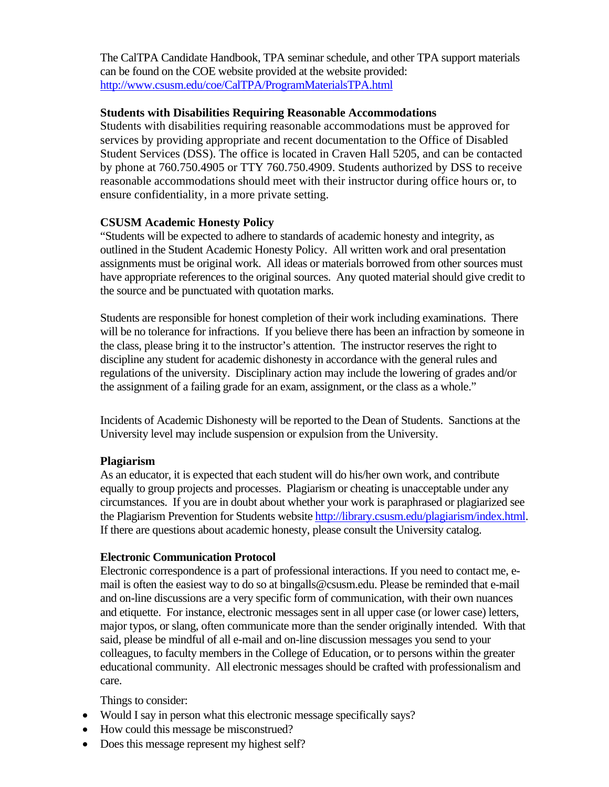The CalTPA Candidate Handbook, TPA seminar schedule, and other TPA support materials can be found on the COE website provided at the website provided: http://www.csusm.edu/coe/CalTPA/ProgramMaterialsTPA.html

### **Students with Disabilities Requiring Reasonable Accommodations**

Students with disabilities requiring reasonable accommodations must be approved for services by providing appropriate and recent documentation to the Office of Disabled Student Services (DSS). The office is located in Craven Hall 5205, and can be contacted by phone at 760.750.4905 or TTY 760.750.4909. Students authorized by DSS to receive reasonable accommodations should meet with their instructor during office hours or, to ensure confidentiality, in a more private setting.

## **CSUSM Academic Honesty Policy**

 have appropriate references to the original sources. Any quoted material should give credit to "Students will be expected to adhere to standards of academic honesty and integrity, as outlined in the Student Academic Honesty Policy. All written work and oral presentation assignments must be original work. All ideas or materials borrowed from other sources must the source and be punctuated with quotation marks.

Students are responsible for honest completion of their work including examinations. There will be no tolerance for infractions. If you believe there has been an infraction by someone in the class, please bring it to the instructor's attention. The instructor reserves the right to discipline any student for academic dishonesty in accordance with the general rules and regulations of the university. Disciplinary action may include the lowering of grades and/or the assignment of a failing grade for an exam, assignment, or the class as a whole."

Incidents of Academic Dishonesty will be reported to the Dean of Students. Sanctions at the University level may include suspension or expulsion from the University.

### **Plagiarism**

As an educator, it is expected that each student will do his/her own work, and contribute equally to group projects and processes. Plagiarism or cheating is unacceptable under any circumstances. If you are in doubt about whether your work is paraphrased or plagiarized see the Plagiarism Prevention for Students website http://library.csusm.edu/plagiarism/index.html. If there are questions about academic honesty, please consult the University catalog.

### **Electronic Communication Protocol**

Electronic correspondence is a part of professional interactions. If you need to contact me, email is often the easiest way to do so at bingalls@csusm.edu. Please be reminded that e-mail and on-line discussions are a very specific form of communication, with their own nuances and etiquette. For instance, electronic messages sent in all upper case (or lower case) letters, major typos, or slang, often communicate more than the sender originally intended. With that said, please be mindful of all e-mail and on-line discussion messages you send to your colleagues, to faculty members in the College of Education, or to persons within the greater educational community. All electronic messages should be crafted with professionalism and care.

Things to consider:

- Would I say in person what this electronic message specifically says?
- How could this message be misconstrued?
- Does this message represent my highest self?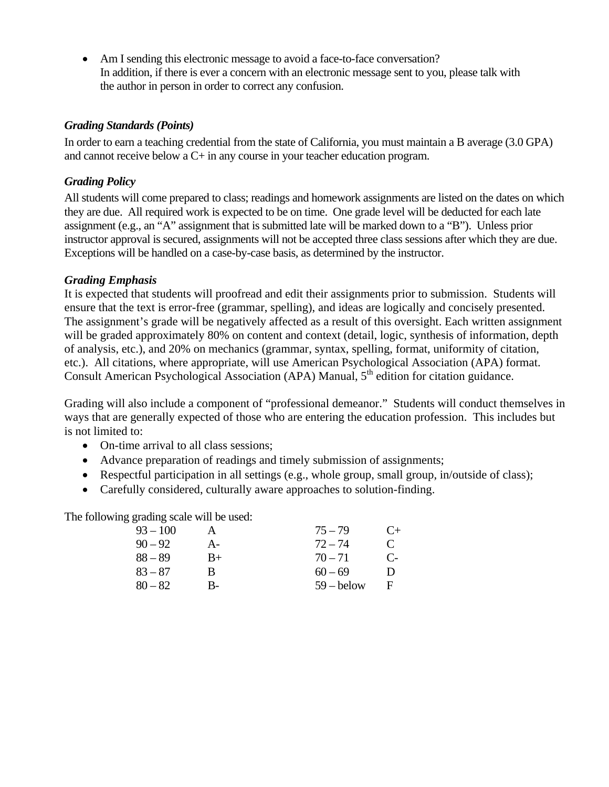• Am I sending this electronic message to avoid a face-to-face conversation? In addition, if there is ever a concern with an electronic message sent to you, please talk with the author in person in order to correct any confusion.

### *Grading Standards (Points)*

In order to earn a teaching credential from the state of California, you must maintain a B average (3.0 GPA) and cannot receive below a C+ in any course in your teacher education program.

### *Grading Policy*

All students will come prepared to class; readings and homework assignments are listed on the dates on which they are due. All required work is expected to be on time. One grade level will be deducted for each late assignment (e.g., an "A" assignment that is submitted late will be marked down to a "B"). Unless prior instructor approval is secured, assignments will not be accepted three class sessions after which they are due. Exceptions will be handled on a case-by-case basis, as determined by the instructor.

### *Grading Emphasis*

It is expected that students will proofread and edit their assignments prior to submission. Students will ensure that the text is error-free (grammar, spelling), and ideas are logically and concisely presented. The assignment's grade will be negatively affected as a result of this oversight. Each written assignment will be graded approximately 80% on content and context (detail, logic, synthesis of information, depth of analysis, etc.), and 20% on mechanics (grammar, syntax, spelling, format, uniformity of citation, etc.). All citations, where appropriate, will use American Psychological Association (APA) format. Consult American Psychological Association (APA) Manual,  $5<sup>th</sup>$  edition for citation guidance.

Grading will also include a component of "professional demeanor." Students will conduct themselves in ways that are generally expected of those who are entering the education profession. This includes but is not limited to:

- On-time arrival to all class sessions:
- Advance preparation of readings and timely submission of assignments;
- Respectful participation in all settings (e.g., whole group, small group, in/outside of class);
- Carefully considered, culturally aware approaches to solution-finding.

The following grading scale will be used:

| $93 - 100$ |      | $75 - 79$    | $($ +         |
|------------|------|--------------|---------------|
| $90 - 92$  | $A-$ | $72 - 74$    | $\mathcal{C}$ |
| $88 - 89$  | $B+$ | $70 - 71$    | $C_{\Xi}$     |
| $83 - 87$  | R    | $60 - 69$    | Ð             |
| $80 - 82$  | В-   | $59 -$ below | E             |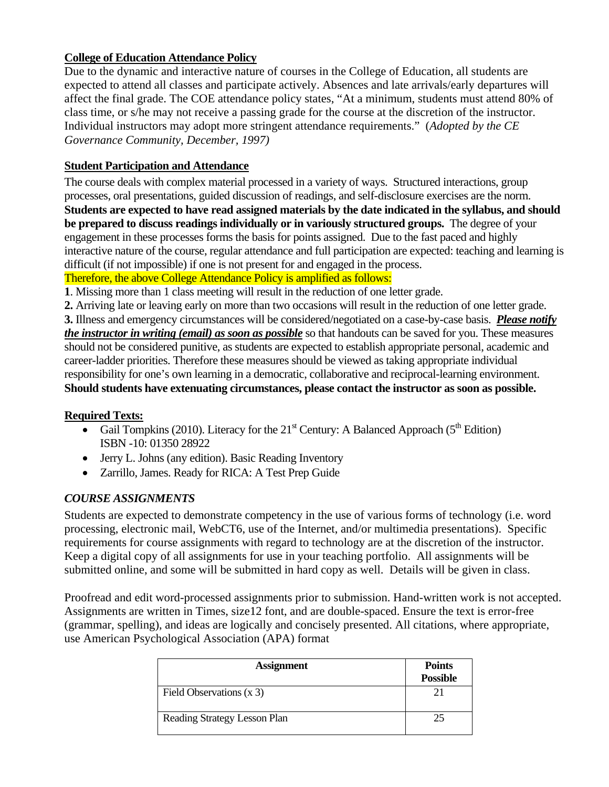## **College of Education Attendance Policy**

Due to the dynamic and interactive nature of courses in the College of Education, all students are expected to attend all classes and participate actively. Absences and late arrivals/early departures will affect the final grade. The COE attendance policy states, "At a minimum, students must attend 80% of class time, or s/he may not receive a passing grade for the course at the discretion of the instructor. Individual instructors may adopt more stringent attendance requirements." (*Adopted by the CE Governance Community, December, 1997)* 

## **Student Participation and Attendance**

The course deals with complex material processed in a variety of ways. Structured interactions, group processes, oral presentations, guided discussion of readings, and self-disclosure exercises are the norm. **Students are expected to have read assigned materials by the date indicated in the syllabus, and should be prepared to discuss readings individually or in variously structured groups.** The degree of your engagement in these processes forms the basis for points assigned. Due to the fast paced and highly interactive nature of the course, regular attendance and full participation are expected: teaching and learning is difficult (if not impossible) if one is not present for and engaged in the process.

Therefore, the above College Attendance Policy is amplified as follows:

**1**. Missing more than 1 class meeting will result in the reduction of one letter grade.

 **3.** Illness and emergency circumstances will be considered/negotiated on a case-by-case basis. *Please notify*  **2.** Arriving late or leaving early on more than two occasions will result in the reduction of one letter grade. *the instructor in writing (email) as soon as possible* so that handouts can be saved for you. These measures should not be considered punitive, as students are expected to establish appropriate personal, academic and career-ladder priorities. Therefore these measures should be viewed as taking appropriate individual responsibility for one's own learning in a democratic, collaborative and reciprocal-learning environment. **Should students have extenuating circumstances, please contact the instructor as soon as possible.** 

## **Required Texts:**

- Gail Tompkins (2010). Literacy for the  $21<sup>st</sup>$  Century: A Balanced Approach ( $5<sup>th</sup>$  Edition) ISBN -10: 01350 28922
- Jerry L. Johns (any edition). Basic Reading Inventory
- • Zarrillo, James. Ready for RICA: A Test Prep Guide

## *COURSE ASSIGNMENTS*

Students are expected to demonstrate competency in the use of various forms of technology (i.e. word processing, electronic mail, WebCT6, use of the Internet, and/or multimedia presentations). Specific requirements for course assignments with regard to technology are at the discretion of the instructor. Keep a digital copy of all assignments for use in your teaching portfolio. All assignments will be submitted online, and some will be submitted in hard copy as well. Details will be given in class.

Proofread and edit word-processed assignments prior to submission. Hand-written work is not accepted. Assignments are written in Times, size12 font, and are double-spaced. Ensure the text is error-free (grammar, spelling), and ideas are logically and concisely presented. All citations, where appropriate, use American Psychological Association (APA) format

| <b>Assignment</b>            | <b>Points</b><br><b>Possible</b> |
|------------------------------|----------------------------------|
| Field Observations (x 3)     |                                  |
| Reading Strategy Lesson Plan |                                  |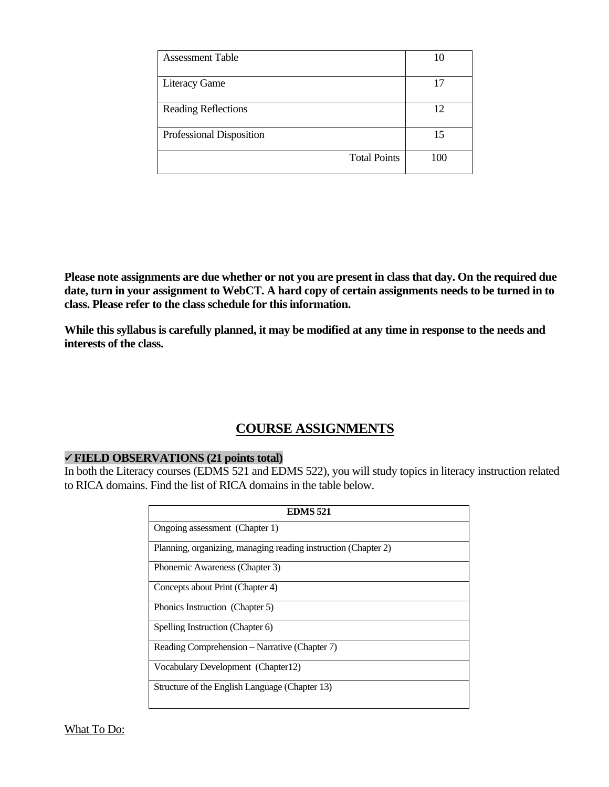| <b>Assessment Table</b>    | 10  |
|----------------------------|-----|
| <b>Literacy Game</b>       | 17  |
| <b>Reading Reflections</b> | 12  |
| Professional Disposition   | 15  |
| <b>Total Points</b>        | 100 |

**Please note assignments are due whether or not you are present in class that day. On the required due date, turn in your assignment to WebCT. A hard copy of certain assignments needs to be turned in to class. Please refer to the class schedule for this information.** 

**While this syllabus is carefully planned, it may be modified at any time in response to the needs and interests of the class.** 

# **COURSE ASSIGNMENTS**

### 9 **FIELD OBSERVATIONS (21 points total)**

In both the Literacy courses (EDMS 521 and EDMS 522), you will study topics in literacy instruction related to RICA domains. Find the list of RICA domains in the table below.

| <b>EDMS 521</b>                                                |  |  |
|----------------------------------------------------------------|--|--|
| Ongoing assessment (Chapter 1)                                 |  |  |
| Planning, organizing, managing reading instruction (Chapter 2) |  |  |
| Phonemic Awareness (Chapter 3)                                 |  |  |
| Concepts about Print (Chapter 4)                               |  |  |
| Phonics Instruction (Chapter 5)                                |  |  |
| Spelling Instruction (Chapter 6)                               |  |  |
| Reading Comprehension – Narrative (Chapter 7)                  |  |  |
| Vocabulary Development (Chapter12)                             |  |  |
| Structure of the English Language (Chapter 13)                 |  |  |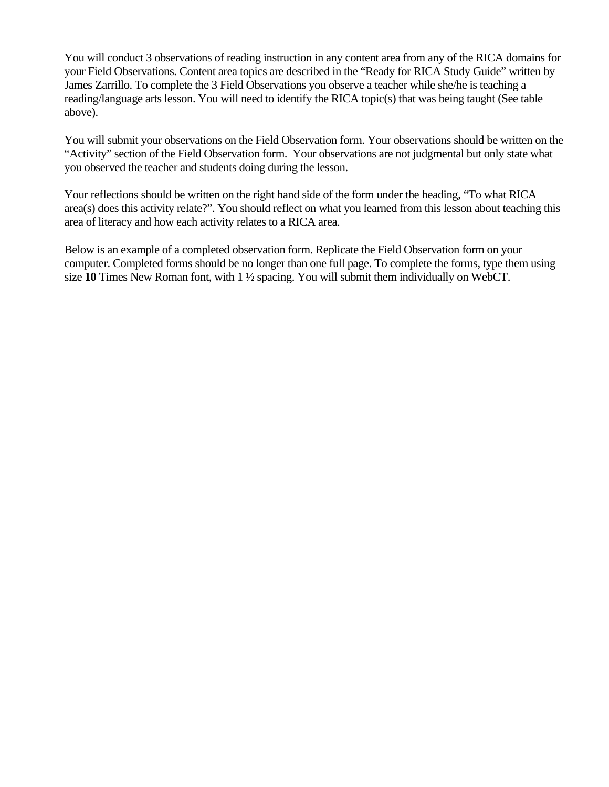You will conduct 3 observations of reading instruction in any content area from any of the RICA domains for your Field Observations. Content area topics are described in the "Ready for RICA Study Guide" written by James Zarrillo. To complete the 3 Field Observations you observe a teacher while she/he is teaching a reading/language arts lesson. You will need to identify the RICA topic(s) that was being taught (See table above).

You will submit your observations on the Field Observation form. Your observations should be written on the "Activity" section of the Field Observation form. Your observations are not judgmental but only state what you observed the teacher and students doing during the lesson.

Your reflections should be written on the right hand side of the form under the heading, "To what RICA area(s) does this activity relate?". You should reflect on what you learned from this lesson about teaching this area of literacy and how each activity relates to a RICA area.

Below is an example of a completed observation form. Replicate the Field Observation form on your computer. Completed forms should be no longer than one full page. To complete the forms, type them using size **10** Times New Roman font, with 1 ½ spacing. You will submit them individually on WebCT.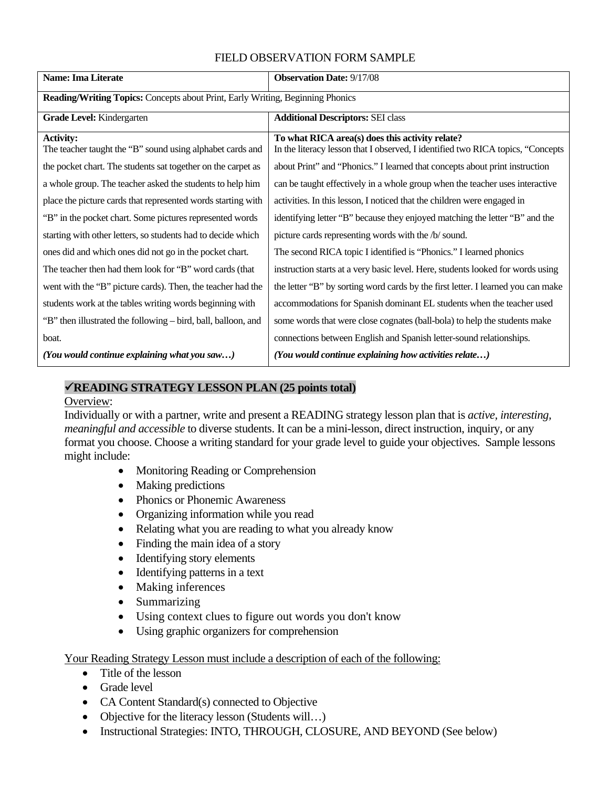## FIELD OBSERVATION FORM SAMPLE

| <b>Name: Ima Literate</b>                                                      | <b>Observation Date: 9/17/08</b>                                                                                                   |  |
|--------------------------------------------------------------------------------|------------------------------------------------------------------------------------------------------------------------------------|--|
| Reading/Writing Topics: Concepts about Print, Early Writing, Beginning Phonics |                                                                                                                                    |  |
| Grade Level: Kindergarten                                                      | <b>Additional Descriptors: SEI class</b>                                                                                           |  |
| <b>Activity:</b><br>The teacher taught the "B" sound using alphabet cards and  | To what RICA area(s) does this activity relate?<br>In the literacy lesson that I observed, I identified two RICA topics, "Concepts |  |
| the pocket chart. The students sat together on the carpet as                   | about Print" and "Phonics." I learned that concepts about print instruction                                                        |  |
| a whole group. The teacher asked the students to help him                      | can be taught effectively in a whole group when the teacher uses interactive                                                       |  |
| place the picture cards that represented words starting with                   | activities. In this lesson, I noticed that the children were engaged in                                                            |  |
| "B" in the pocket chart. Some pictures represented words                       | identifying letter "B" because they enjoyed matching the letter "B" and the                                                        |  |
| starting with other letters, so students had to decide which                   | picture cards representing words with the /b/ sound.                                                                               |  |
| ones did and which ones did not go in the pocket chart.                        | The second RICA topic I identified is "Phonics." I learned phonics                                                                 |  |
| The teacher then had them look for "B" word cards (that                        | instruction starts at a very basic level. Here, students looked for words using                                                    |  |
| went with the "B" picture cards). Then, the teacher had the                    | the letter "B" by sorting word cards by the first letter. I learned you can make                                                   |  |
| students work at the tables writing words beginning with                       | accommodations for Spanish dominant EL students when the teacher used                                                              |  |
| "B" then illustrated the following – bird, ball, balloon, and                  | some words that were close cognates (ball-bola) to help the students make                                                          |  |
| boat.                                                                          | connections between English and Spanish letter-sound relationships.                                                                |  |
| (You would continue explaining what you saw)                                   | (You would continue explaining how activities relate)                                                                              |  |

### 9**READING STRATEGY LESSON PLAN (25 points total)**

#### Overview:

Individually or with a partner, write and present a READING strategy lesson plan that is *active, interesting, meaningful and accessible* to diverse students. It can be a mini-lesson, direct instruction, inquiry, or any format you choose. Choose a writing standard for your grade level to guide your objectives. Sample lessons might include:

- Monitoring Reading or Comprehension
- Making predictions
- Phonics or Phonemic Awareness
- Organizing information while you read
- Relating what you are reading to what you already know
- Finding the main idea of a story
- Identifying story elements
- Identifying patterns in a text
- Making inferences
- Summarizing
- Using context clues to figure out words you don't know
- Using graphic organizers for comprehension

Your Reading Strategy Lesson must include a description of each of the following:

- Title of the lesson
- Grade level
- CA Content Standard(s) connected to Objective
- Objective for the literacy lesson (Students will...)
- Instructional Strategies: INTO, THROUGH, CLOSURE, AND BEYOND (See below)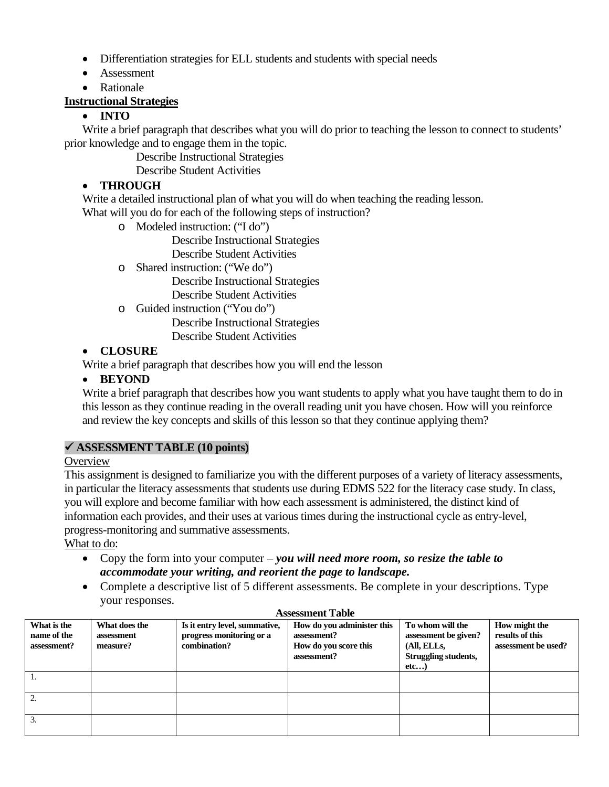- Differentiation strategies for ELL students and students with special needs
- Assessment
- Rationale

## **Instructional Strategies**

# • **INTO**

Write a brief paragraph that describes what you will do prior to teaching the lesson to connect to students' prior knowledge and to engage them in the topic.

Describe Instructional Strategies

Describe Student Activities

## • **THROUGH**

Write a detailed instructional plan of what you will do when teaching the reading lesson.

What will you do for each of the following steps of instruction?

o Modeled instruction: ("I do")

Describe Instructional Strategies

Describe Student Activities

o Shared instruction: ("We do") Describe Instructional Strategies

Describe Student Activities

o Guided instruction ("You do")

Describe Instructional Strategies Describe Student Activities

## • **CLOSURE**

Write a brief paragraph that describes how you will end the lesson

## • **BEYOND**

Write a brief paragraph that describes how you want students to apply what you have taught them to do in this lesson as they continue reading in the overall reading unit you have chosen. How will you reinforce and review the key concepts and skills of this lesson so that they continue applying them?

## 9 **ASSESSMENT TABLE (10 points)**

## **Overview**

This assignment is designed to familiarize you with the different purposes of a variety of literacy assessments, in particular the literacy assessments that students use during EDMS 522 for the literacy case study. In class, you will explore and become familiar with how each assessment is administered, the distinct kind of information each provides, and their uses at various times during the instructional cycle as entry-level, progress-monitoring and summative assessments.

What to do:

- *accommodate your writing, and reorient the page to landscape.* • Copy the form into your computer – *you will need more room, so resize the table to*
- Complete a descriptive list of 5 different assessments. Be complete in your descriptions. Type your responses.

|                                           |                                         |                                                                           | 1.1003301110110110100100                                                          |                                                                                         |                                                         |
|-------------------------------------------|-----------------------------------------|---------------------------------------------------------------------------|-----------------------------------------------------------------------------------|-----------------------------------------------------------------------------------------|---------------------------------------------------------|
| What is the<br>name of the<br>assessment? | What does the<br>assessment<br>measure? | Is it entry level, summative,<br>progress monitoring or a<br>combination? | How do you administer this<br>assessment?<br>How do you score this<br>assessment? | To whom will the<br>assessment be given?<br>(All, ELLs,<br>Struggling students,<br>etc) | How might the<br>results of this<br>assessment be used? |
|                                           |                                         |                                                                           |                                                                                   |                                                                                         |                                                         |
| 2.                                        |                                         |                                                                           |                                                                                   |                                                                                         |                                                         |
| 3.                                        |                                         |                                                                           |                                                                                   |                                                                                         |                                                         |

### **Assessment Table**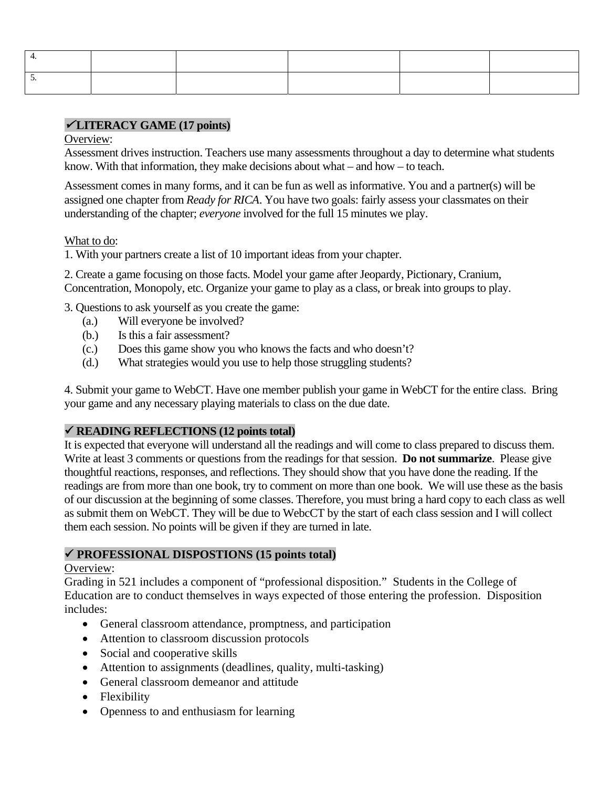## <sup>9</sup> **LITERACY GAME (17 points)**

#### Overview:

Assessment drives instruction. Teachers use many assessments throughout a day to determine what students know. With that information, they make decisions about what – and how – to teach.

Assessment comes in many forms, and it can be fun as well as informative. You and a partner(s) will be assigned one chapter from *Ready for RICA*. You have two goals: fairly assess your classmates on their understanding of the chapter; *everyone* involved for the full 15 minutes we play.

## What to do:

1. With your partners create a list of 10 important ideas from your chapter.

2. Create a game focusing on those facts. Model your game after Jeopardy, Pictionary, Cranium, Concentration, Monopoly, etc. Organize your game to play as a class, or break into groups to play.

3. Questions to ask yourself as you create the game:

- (a.) Will everyone be involved?
- Is this a fair assessment?
- (b.) Is this a fair assessment? (c.) Does this game show you who knows the facts and who doesn't?
- (d.) What strategies would you use to help those struggling students?

4. Submit your game to WebCT. Have one member publish your game in WebCT for the entire class. Bring your game and any necessary playing materials to class on the due date.

## 9 **READING REFLECTIONS (12 points total)**

 Write at least 3 comments or questions from the readings for that session. **Do not summarize**. Please give It is expected that everyone will understand all the readings and will come to class prepared to discuss them. thoughtful reactions, responses, and reflections. They should show that you have done the reading. If the readings are from more than one book, try to comment on more than one book. We will use these as the basis of our discussion at the beginning of some classes. Therefore, you must bring a hard copy to each class as well as submit them on WebCT. They will be due to WebcCT by the start of each class session and I will collect them each session. No points will be given if they are turned in late.

## 9 **PROFESSIONAL DISPOSTIONS (15 points total)**

## Overview:

Grading in 521 includes a component of "professional disposition." Students in the College of Education are to conduct themselves in ways expected of those entering the profession. Disposition includes:

- General classroom attendance, promptness, and participation
- Attention to classroom discussion protocols
- Social and cooperative skills
- Attention to assignments (deadlines, quality, multi-tasking)
- General classroom demeanor and attitude
- Flexibility
- Openness to and enthusiasm for learning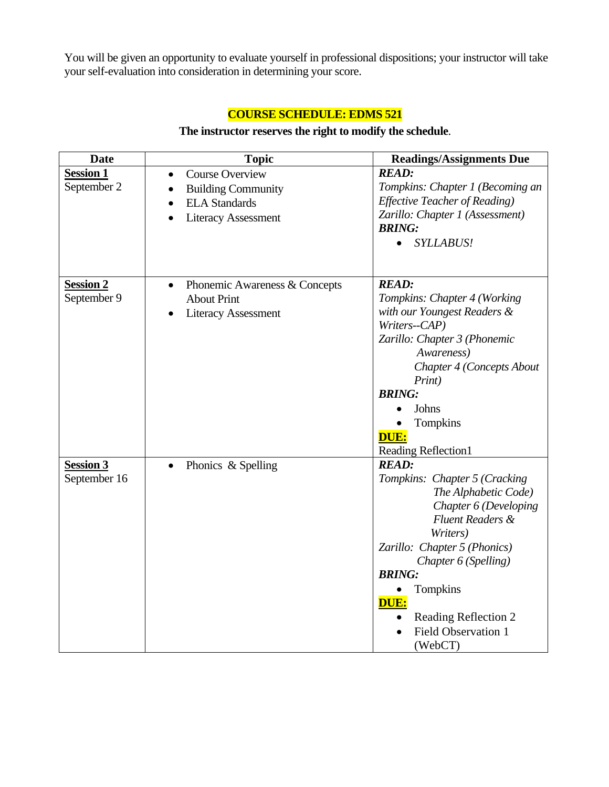You will be given an opportunity to evaluate yourself in professional dispositions; your instructor will take your self-evaluation into consideration in determining your score.

# **COURSE SCHEDULE: EDMS 521**

## **The instructor reserves the right to modify the schedule**.

| <b>Date</b>          | <b>Topic</b>                               | <b>Readings/Assignments Due</b>      |
|----------------------|--------------------------------------------|--------------------------------------|
| <b>Session 1</b>     | <b>Course Overview</b><br>$\bullet$        | <b>READ:</b>                         |
| September 2          | <b>Building Community</b><br>$\bullet$     | Tompkins: Chapter 1 (Becoming an     |
|                      | <b>ELA Standards</b><br>$\bullet$          | <b>Effective Teacher of Reading)</b> |
|                      | <b>Literacy Assessment</b>                 | Zarillo: Chapter 1 (Assessment)      |
|                      |                                            | <b>BRING:</b>                        |
|                      |                                            | <b>SYLLABUS!</b><br>$\bullet$        |
|                      |                                            |                                      |
| Session <sub>2</sub> | Phonemic Awareness & Concepts<br>$\bullet$ | <b>READ:</b>                         |
| September 9          | <b>About Print</b>                         | Tompkins: Chapter 4 (Working         |
|                      | <b>Literacy Assessment</b>                 | with our Youngest Readers &          |
|                      |                                            | Writers--CAP)                        |
|                      |                                            | Zarillo: Chapter 3 (Phonemic         |
|                      |                                            | Awareness)                           |
|                      |                                            | Chapter 4 (Concepts About            |
|                      |                                            | Print)                               |
|                      |                                            | <b>BRING:</b>                        |
|                      |                                            | Johns                                |
|                      |                                            | Tompkins                             |
|                      |                                            | <b>DUE:</b>                          |
|                      |                                            | <b>Reading Reflection1</b>           |
| Session 3            | Phonics & Spelling                         | <b>READ:</b>                         |
| September 16         |                                            | Tompkins: Chapter 5 (Cracking        |
|                      |                                            | The Alphabetic Code)                 |
|                      |                                            | Chapter 6 (Developing                |
|                      |                                            | <b>Fluent Readers &amp;</b>          |
|                      |                                            | Writers)                             |
|                      |                                            | Zarillo: Chapter 5 (Phonics)         |
|                      |                                            | Chapter 6 (Spelling)                 |
|                      |                                            | <b>BRING:</b>                        |
|                      |                                            | <b>Tompkins</b>                      |
|                      |                                            | DUE:                                 |
|                      |                                            | Reading Reflection 2                 |
|                      |                                            | <b>Field Observation 1</b>           |
|                      |                                            | (WebCT)                              |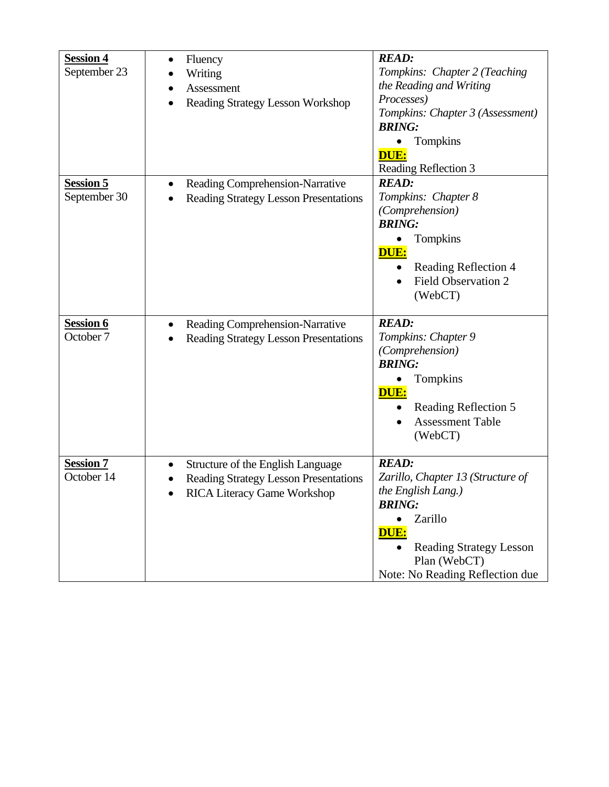| <b>Session 4</b><br>September 23 | Fluency<br>Writing<br>Assessment<br><b>Reading Strategy Lesson Workshop</b>                                      | <b>READ:</b><br>Tompkins: Chapter 2 (Teaching<br>the Reading and Writing<br>Processes)<br>Tompkins: Chapter 3 (Assessment)<br><b>BRING:</b><br>Tompkins<br>DUE:<br>Reading Reflection 3          |
|----------------------------------|------------------------------------------------------------------------------------------------------------------|--------------------------------------------------------------------------------------------------------------------------------------------------------------------------------------------------|
| <b>Session 5</b><br>September 30 | Reading Comprehension-Narrative<br><b>Reading Strategy Lesson Presentations</b>                                  | <b>READ:</b><br>Tompkins: Chapter 8<br>(Comprehension)<br><b>BRING:</b><br>Tompkins<br>DUE:<br>Reading Reflection 4<br><b>Field Observation 2</b><br>(WebCT)                                     |
| <b>Session 6</b><br>October 7    | Reading Comprehension-Narrative<br><b>Reading Strategy Lesson Presentations</b>                                  | <b>READ:</b><br>Tompkins: Chapter 9<br>(Comprehension)<br><b>BRING:</b><br>Tompkins<br>DUE:<br>Reading Reflection 5<br><b>Assessment Table</b><br>(WebCT)                                        |
| <b>Session 7</b><br>October 14   | Structure of the English Language<br>Reading Strategy Lesson Presentations<br><b>RICA Literacy Game Workshop</b> | <b>READ:</b><br>Zarillo, Chapter 13 (Structure of<br>the English Lang.)<br><b>BRING:</b><br>Zarillo<br>DUE:<br><b>Reading Strategy Lesson</b><br>Plan (WebCT)<br>Note: No Reading Reflection due |